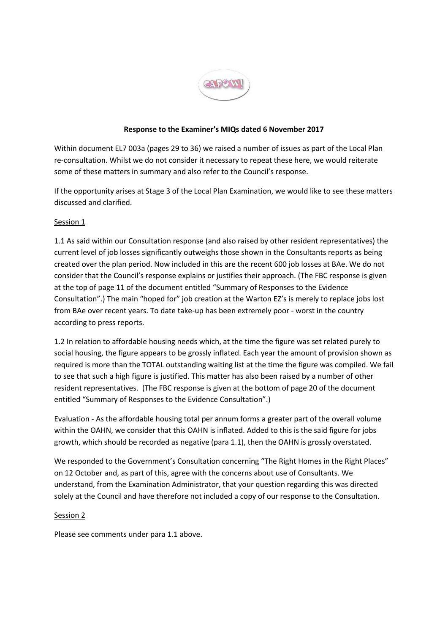

## **Response to the Examiner's MIQs dated 6 November 2017**

Within document EL7 003a (pages 29 to 36) we raised a number of issues as part of the Local Plan re-consultation. Whilst we do not consider it necessary to repeat these here, we would reiterate some of these matters in summary and also refer to the Council's response.

If the opportunity arises at Stage 3 of the Local Plan Examination, we would like to see these matters discussed and clarified.

## Session 1

1.1 As said within our Consultation response (and also raised by other resident representatives) the current level of job losses significantly outweighs those shown in the Consultants reports as being created over the plan period. Now included in this are the recent 600 job losses at BAe. We do not consider that the Council's response explains or justifies their approach. (The FBC response is given at the top of page 11 of the document entitled "Summary of Responses to the Evidence Consultation".) The main "hoped for" job creation at the Warton EZ's is merely to replace jobs lost from BAe over recent years. To date take-up has been extremely poor - worst in the country according to press reports.

1.2 In relation to affordable housing needs which, at the time the figure was set related purely to social housing, the figure appears to be grossly inflated. Each year the amount of provision shown as required is more than the TOTAL outstanding waiting list at the time the figure was compiled. We fail to see that such a high figure is justified. This matter has also been raised by a number of other resident representatives. (The FBC response is given at the bottom of page 20 of the document entitled "Summary of Responses to the Evidence Consultation".)

Evaluation - As the affordable housing total per annum forms a greater part of the overall volume within the OAHN, we consider that this OAHN is inflated. Added to this is the said figure for jobs growth, which should be recorded as negative (para 1.1), then the OAHN is grossly overstated.

We responded to the Government's Consultation concerning "The Right Homes in the Right Places" on 12 October and, as part of this, agree with the concerns about use of Consultants. We understand, from the Examination Administrator, that your question regarding this was directed solely at the Council and have therefore not included a copy of our response to the Consultation.

## Session 2

Please see comments under para 1.1 above.